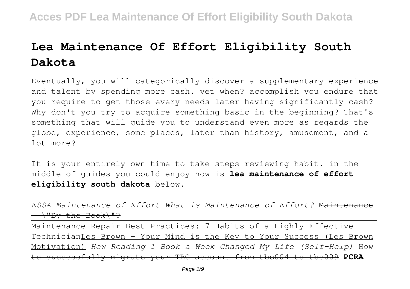# **Lea Maintenance Of Effort Eligibility South Dakota**

Eventually, you will categorically discover a supplementary experience and talent by spending more cash. yet when? accomplish you endure that you require to get those every needs later having significantly cash? Why don't you try to acquire something basic in the beginning? That's something that will guide you to understand even more as regards the globe, experience, some places, later than history, amusement, and a lot more?

It is your entirely own time to take steps reviewing habit. in the middle of guides you could enjoy now is **lea maintenance of effort eligibility south dakota** below.

*ESSA Maintenance of Effort What is Maintenance of Effort?* Maintenance  $\longrightarrow$ "By the Book $\rightarrow$ "?

Maintenance Repair Best Practices: 7 Habits of a Highly Effective TechnicianLes Brown - Your Mind is the Key to Your Success (Les Brown Motivation) *How Reading 1 Book a Week Changed My Life (Self-Help)* How to successfully migrate your TBC account from tbc004 to tbc009 **PCRA**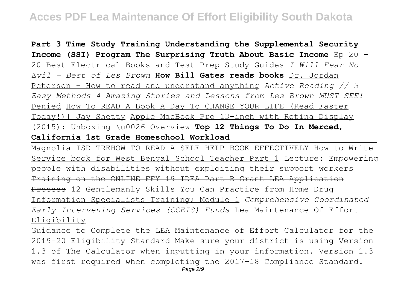**Part 3 Time Study Training Understanding the Supplemental Security Income (SSI) Program The Surprising Truth About Basic Income** Ep 20 - 20 Best Electrical Books and Test Prep Study Guides *I Will Fear No Evil - Best of Les Brown* **How Bill Gates reads books** Dr. Jordan Peterson - How to read and understand anything *Active Reading // 3 Easy Methods 4 Amazing Stories and Lessons from Les Brown MUST SEE!* Denied How To READ A Book A Day To CHANGE YOUR LIFE (Read Faster Today!)| Jay Shetty Apple MacBook Pro 13-inch with Retina Display (2015): Unboxing \u0026 Overview **Top 12 Things To Do In Merced, California 1st Grade Homeschool Workload**

Magnolia ISD TREHOW TO READ A SELF-HELP BOOK EFFECTIVELY How to Write Service book for West Bengal School Teacher Part 1 Lecture: Empowering people with disabilities without exploiting their support workers Training on the ONLINE FFY 19 IDEA Part B Grant LEA Application Process 12 Gentlemanly Skills You Can Practice from Home Drug Information Specialists Training; Module 1 *Comprehensive Coordinated Early Intervening Services (CCEIS) Funds* Lea Maintenance Of Effort Eligibility

Guidance to Complete the LEA Maintenance of Effort Calculator for the 2019-20 Eligibility Standard Make sure your district is using Version 1.3 of The Calculator when inputting in your information. Version 1.3 was first required when completing the 2017-18 Compliance Standard.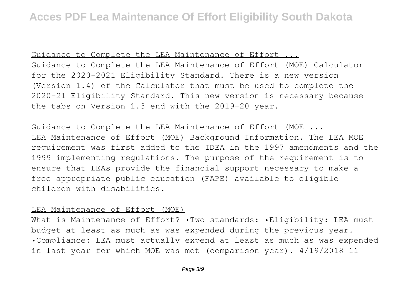Guidance to Complete the LEA Maintenance of Effort ...

Guidance to Complete the LEA Maintenance of Effort (MOE) Calculator for the 2020-2021 Eligibility Standard. There is a new version (Version 1.4) of the Calculator that must be used to complete the 2020-21 Eligibility Standard. This new version is necessary because the tabs on Version 1.3 end with the 2019-20 year.

Guidance to Complete the LEA Maintenance of Effort (MOE ...

LEA Maintenance of Effort (MOE) Background Information. The LEA MOE requirement was first added to the IDEA in the 1997 amendments and the 1999 implementing regulations. The purpose of the requirement is to ensure that LEAs provide the financial support necessary to make a free appropriate public education (FAPE) available to eligible children with disabilities.

#### LEA Maintenance of Effort (MOE)

What is Maintenance of Effort? . Two standards: . Eligibility: LEA must budget at least as much as was expended during the previous year. •Compliance: LEA must actually expend at least as much as was expended in last year for which MOE was met (comparison year). 4/19/2018 11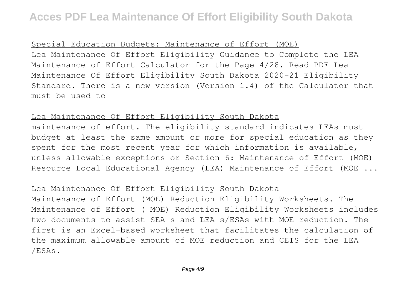### Special Education Budgets: Maintenance of Effort (MOE)

Lea Maintenance Of Effort Eligibility Guidance to Complete the LEA Maintenance of Effort Calculator for the Page 4/28. Read PDF Lea Maintenance Of Effort Eligibility South Dakota 2020-21 Eligibility Standard. There is a new version (Version 1.4) of the Calculator that must be used to

### Lea Maintenance Of Effort Eligibility South Dakota

maintenance of effort. The eligibility standard indicates LEAs must budget at least the same amount or more for special education as they spent for the most recent year for which information is available, unless allowable exceptions or Section 6: Maintenance of Effort (MOE) Resource Local Educational Agency (LEA) Maintenance of Effort (MOE ...

### Lea Maintenance Of Effort Eligibility South Dakota

Maintenance of Effort (MOE) Reduction Eligibility Worksheets. The Maintenance of Effort ( MOE) Reduction Eligibility Worksheets includes two documents to assist SEA s and LEA s/ESAs with MOE reduction. The first is an Excel-based worksheet that facilitates the calculation of the maximum allowable amount of MOE reduction and CEIS for the LEA /ESAs.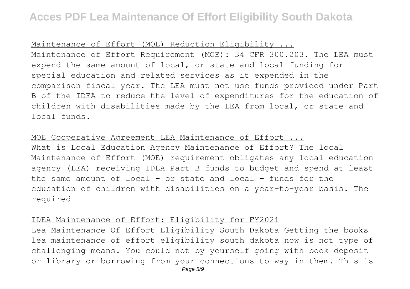#### Maintenance of Effort (MOE) Reduction Eligibility ...

Maintenance of Effort Requirement (MOE): 34 CFR 300.203. The LEA must expend the same amount of local, or state and local funding for special education and related services as it expended in the comparison fiscal year. The LEA must not use funds provided under Part B of the IDEA to reduce the level of expenditures for the education of children with disabilities made by the LEA from local, or state and local funds.

#### MOE Cooperative Agreement LEA Maintenance of Effort ...

What is Local Education Agency Maintenance of Effort? The local Maintenance of Effort (MOE) requirement obligates any local education agency (LEA) receiving IDEA Part B funds to budget and spend at least the same amount of local – or state and local – funds for the education of children with disabilities on a year-to-year basis. The required

### IDEA Maintenance of Effort: Eligibility for FY2021

Lea Maintenance Of Effort Eligibility South Dakota Getting the books lea maintenance of effort eligibility south dakota now is not type of challenging means. You could not by yourself going with book deposit or library or borrowing from your connections to way in them. This is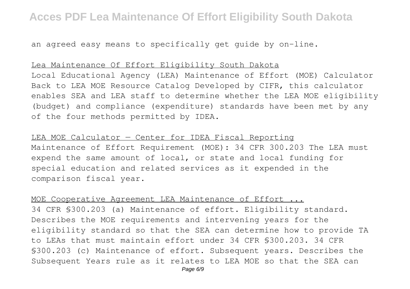an agreed easy means to specifically get guide by on-line.

#### Lea Maintenance Of Effort Eligibility South Dakota

Local Educational Agency (LEA) Maintenance of Effort (MOE) Calculator Back to LEA MOE Resource Catalog Developed by CIFR, this calculator enables SEA and LEA staff to determine whether the LEA MOE eligibility (budget) and compliance (expenditure) standards have been met by any of the four methods permitted by IDEA.

LEA MOE Calculator — Center for IDEA Fiscal Reporting Maintenance of Effort Requirement (MOE): 34 CFR 300.203 The LEA must expend the same amount of local, or state and local funding for special education and related services as it expended in the comparison fiscal year.

MOE Cooperative Agreement LEA Maintenance of Effort ... 34 CFR §300.203 (a) Maintenance of effort. Eligibility standard. Describes the MOE requirements and intervening years for the eligibility standard so that the SEA can determine how to provide TA to LEAs that must maintain effort under 34 CFR §300.203. 34 CFR §300.203 (c) Maintenance of effort. Subsequent years. Describes the Subsequent Years rule as it relates to LEA MOE so that the SEA can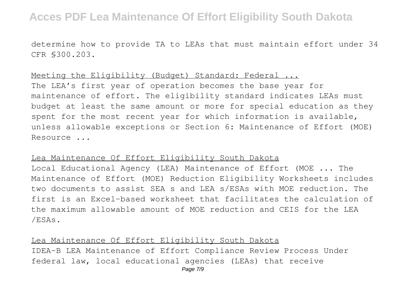determine how to provide TA to LEAs that must maintain effort under 34 CFR §300.203.

Meeting the Eligibility (Budget) Standard: Federal ... The LEA's first year of operation becomes the base year for maintenance of effort. The eligibility standard indicates LEAs must budget at least the same amount or more for special education as they spent for the most recent year for which information is available, unless allowable exceptions or Section 6: Maintenance of Effort (MOE) Resource ...

#### Lea Maintenance Of Effort Eligibility South Dakota

Local Educational Agency (LEA) Maintenance of Effort (MOE ... The Maintenance of Effort (MOE) Reduction Eligibility Worksheets includes two documents to assist SEA s and LEA s/ESAs with MOE reduction. The first is an Excel-based worksheet that facilitates the calculation of the maximum allowable amount of MOE reduction and CEIS for the LEA /ESAs.

Lea Maintenance Of Effort Eligibility South Dakota IDEA-B LEA Maintenance of Effort Compliance Review Process Under federal law, local educational agencies (LEAs) that receive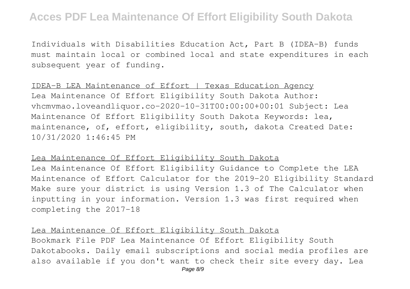Individuals with Disabilities Education Act, Part B (IDEA-B) funds must maintain local or combined local and state expenditures in each subsequent year of funding.

### IDEA-B LEA Maintenance of Effort | Texas Education Agency

Lea Maintenance Of Effort Eligibility South Dakota Author: vhcmvmao.loveandliquor.co-2020-10-31T00:00:00+00:01 Subject: Lea Maintenance Of Effort Eligibility South Dakota Keywords: lea, maintenance, of, effort, eligibility, south, dakota Created Date: 10/31/2020 1:46:45 PM

#### Lea Maintenance Of Effort Eligibility South Dakota

Lea Maintenance Of Effort Eligibility Guidance to Complete the LEA Maintenance of Effort Calculator for the 2019-20 Eligibility Standard Make sure your district is using Version 1.3 of The Calculator when inputting in your information. Version 1.3 was first required when completing the 2017-18

### Lea Maintenance Of Effort Eligibility South Dakota

Bookmark File PDF Lea Maintenance Of Effort Eligibility South Dakotabooks. Daily email subscriptions and social media profiles are also available if you don't want to check their site every day. Lea